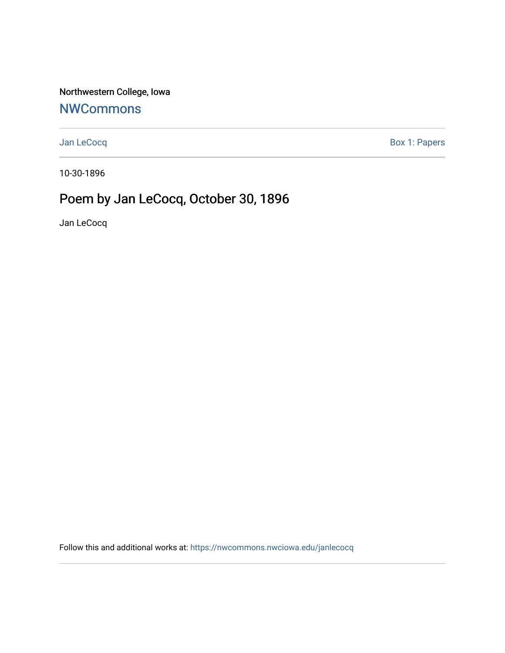Northwestern College, Iowa

## **[NWCommons](https://nwcommons.nwciowa.edu/)**

[Jan LeCocq](https://nwcommons.nwciowa.edu/janlecocq) **Box 1: Papers** 

10-30-1896

## Poem by Jan LeCocq, October 30, 1896

Jan LeCocq

Follow this and additional works at: [https://nwcommons.nwciowa.edu/janlecocq](https://nwcommons.nwciowa.edu/janlecocq?utm_source=nwcommons.nwciowa.edu%2Fjanlecocq%2F1&utm_medium=PDF&utm_campaign=PDFCoverPages)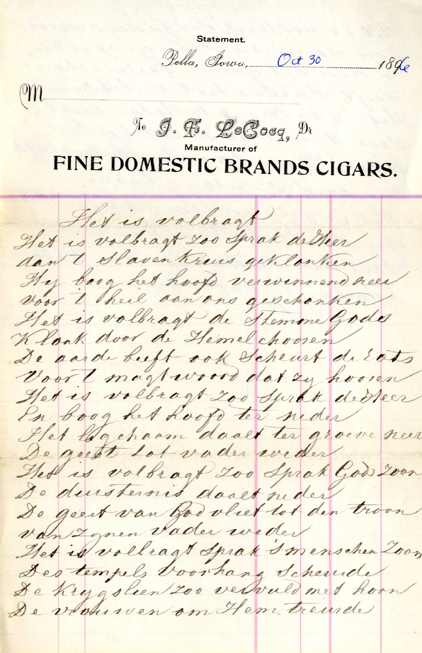Statement.

Pella, Jowa, Oct 30

 $\mathfrak{m}$ 

18 de

No J. F. LeGoog, Di

## FINE DOMESTIC BRANDS CIGARS.

Het is volbragt Het is volbragt soo Sprak de Heer dan t Slaven trens get lanten Hy boog het hoop verwennend neer voor I hell aan one geschonken Het is volbragt de stemme Gods Klook door de Hemelchoosen De aarde beeft ook Scheurt de Eats Voort magteroord dat zu hooren Het is volbragt zoo Sprak derreer En boog het hoofs ter neder Stet log chaam dooet ter groeve neer De gut tot vader weder Hed is volbragt Loo Sprak God Loon De duisternis dooet nider De geest van God vliet tot den troon van zonen vader weder Het is volleagt Iprak I menschen Zoon Des tempels too hang Scherude De Krygsleen 200 vervuld med hoor De vousven om Hem tremde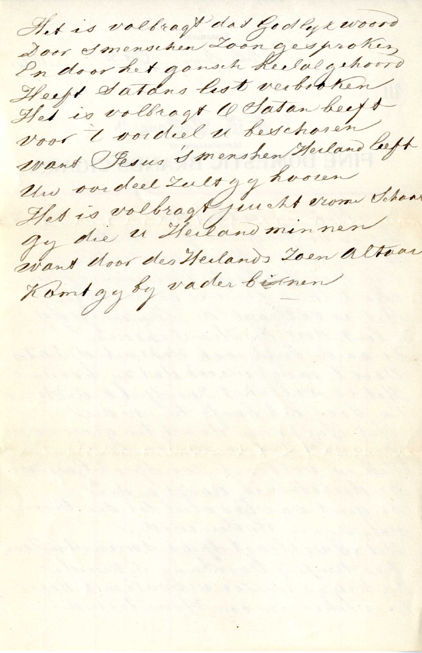Het is voltragt das Godlyxwoord In door het gansch heelalgehoord Heeft satans lest verbetren Het is volbragt 1 Satan beeft voor t voided u beschoren Want Pesus I menshen Herland left Un oveded Lult gy hooren Het is volbragt juicht vom School Jeg die 21 Heiland minnen want door des Herlands Toen altoar Komt gy by vader bistnen

and the same short of the same formed and an ancient

Automobile Area of the same process that

and the state of the state of the state of the state of the state of the state of the state of the state of the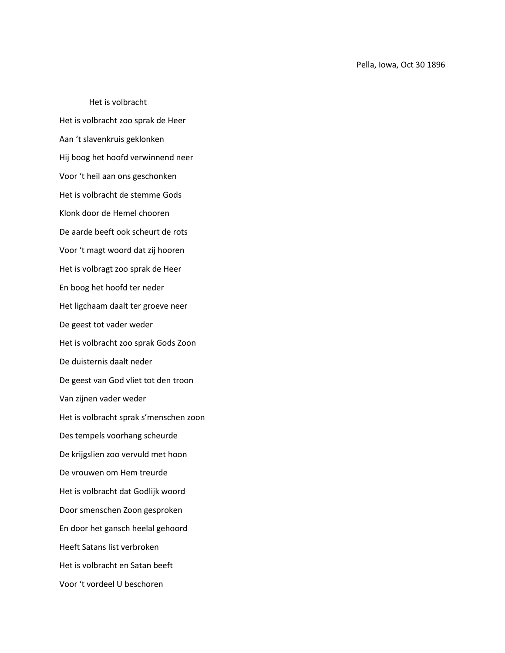Het is volbracht Het is volbracht zoo sprak de Heer Aan 't slavenkruis geklonken Hij boog het hoofd verwinnend neer Voor 't heil aan ons geschonken Het is volbracht de stemme Gods Klonk door de Hemel chooren De aarde beeft ook scheurt de rots Voor 't magt woord dat zij hooren Het is volbragt zoo sprak de Heer En boog het hoofd ter neder Het ligchaam daalt ter groeve neer De geest tot vader weder Het is volbracht zoo sprak Gods Zoon De duisternis daalt neder De geest van God vliet tot den troon Van zijnen vader weder Het is volbracht sprak s'menschen zoon Des tempels voorhang scheurde De krijgslien zoo vervuld met hoon De vrouwen om Hem treurde Het is volbracht dat Godlijk woord Door smenschen Zoon gesproken En door het gansch heelal gehoord Heeft Satans list verbroken Het is volbracht en Satan beeft Voor 't vordeel U beschoren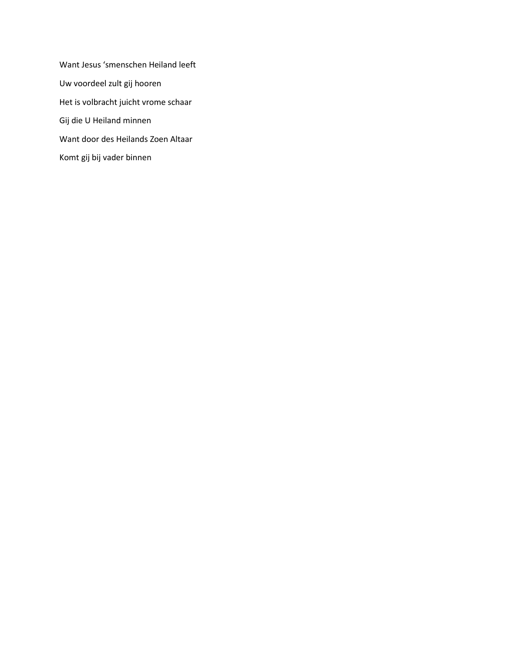Want Jesus 'smenschen Heiland leeft Uw voordeel zult gij hooren Het is volbracht juicht vrome schaar Gij die U Heiland minnen Want door des Heilands Zoen Altaar Komt gij bij vader binnen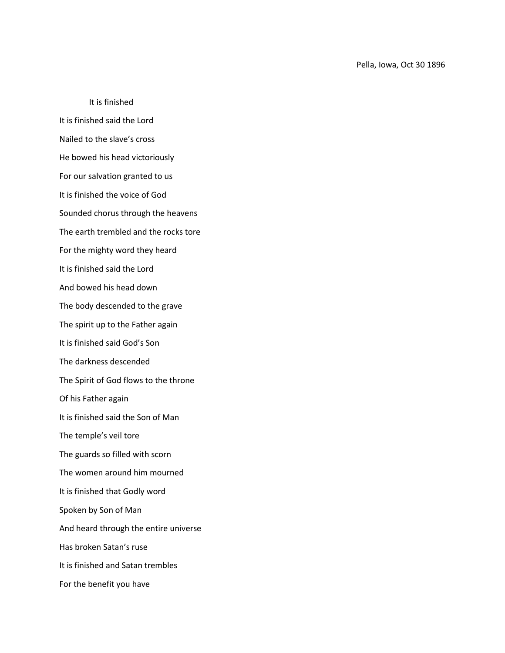It is finished It is finished said the Lord Nailed to the slave's cross He bowed his head victoriously For our salvation granted to us It is finished the voice of God Sounded chorus through the heavens The earth trembled and the rocks tore For the mighty word they heard It is finished said the Lord And bowed his head down The body descended to the grave The spirit up to the Father again It is finished said God's Son The darkness descended The Spirit of God flows to the throne Of his Father again It is finished said the Son of Man The temple's veil tore The guards so filled with scorn The women around him mourned It is finished that Godly word Spoken by Son of Man And heard through the entire universe Has broken Satan's ruse It is finished and Satan trembles For the benefit you have